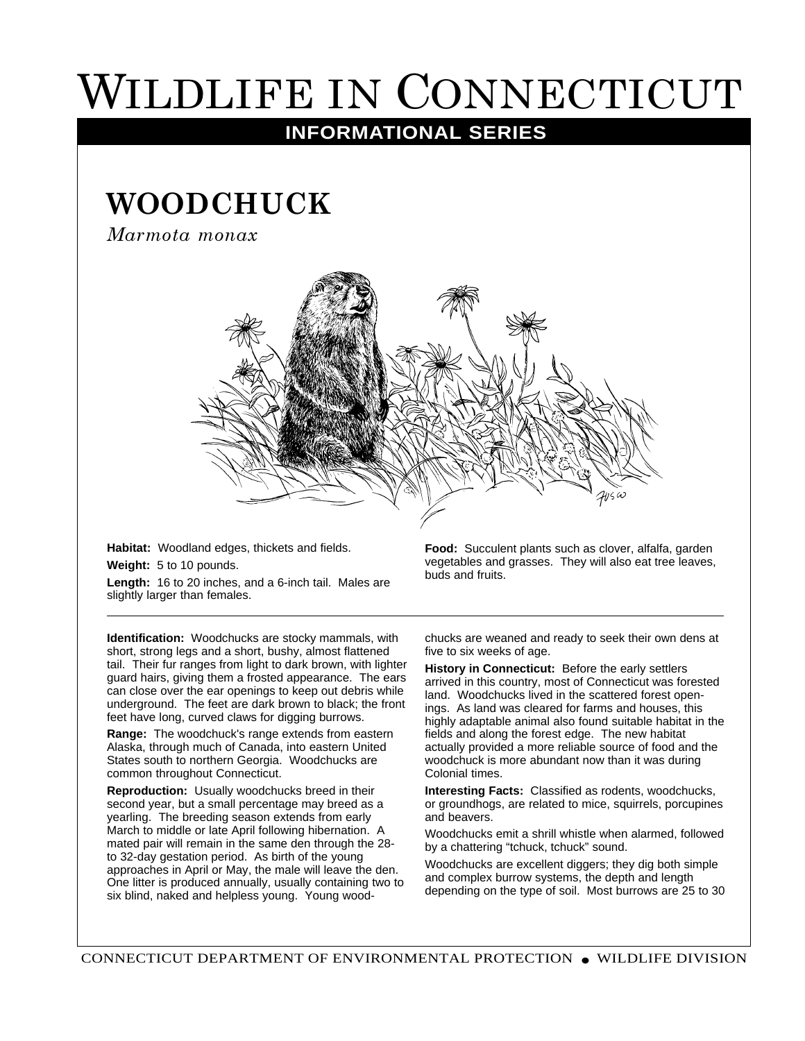## WILDLIFE IN CONNECTICUT

## **INFORMATIONAL SERIES**

## **WOODCHUCK**

*Marmota monax*



**Habitat:** Woodland edges, thickets and fields.

**Weight:** 5 to 10 pounds.

**Length:** 16 to 20 inches, and a 6-inch tail. Males are slightly larger than females.

**Identification:** Woodchucks are stocky mammals, with short, strong legs and a short, bushy, almost flattened tail. Their fur ranges from light to dark brown, with lighter guard hairs, giving them a frosted appearance. The ears can close over the ear openings to keep out debris while underground. The feet are dark brown to black; the front feet have long, curved claws for digging burrows.

**Range:** The woodchuck's range extends from eastern Alaska, through much of Canada, into eastern United States south to northern Georgia. Woodchucks are common throughout Connecticut.

**Reproduction:** Usually woodchucks breed in their second year, but a small percentage may breed as a yearling. The breeding season extends from early March to middle or late April following hibernation. A mated pair will remain in the same den through the 28 to 32-day gestation period. As birth of the young approaches in April or May, the male will leave the den. One litter is produced annually, usually containing two to six blind, naked and helpless young. Young wood-

**Food:** Succulent plants such as clover, alfalfa, garden vegetables and grasses. They will also eat tree leaves, buds and fruits.

chucks are weaned and ready to seek their own dens at five to six weeks of age.

**History in Connecticut:** Before the early settlers arrived in this country, most of Connecticut was forested land. Woodchucks lived in the scattered forest openings. As land was cleared for farms and houses, this highly adaptable animal also found suitable habitat in the fields and along the forest edge. The new habitat actually provided a more reliable source of food and the woodchuck is more abundant now than it was during Colonial times.

**Interesting Facts:** Classified as rodents, woodchucks, or groundhogs, are related to mice, squirrels, porcupines and beavers.

Woodchucks emit a shrill whistle when alarmed, followed by a chattering "tchuck, tchuck" sound.

Woodchucks are excellent diggers; they dig both simple and complex burrow systems, the depth and length depending on the type of soil. Most burrows are 25 to 30

CONNECTICUT DEPARTMENT OF ENVIRONMENTAL PROTECTION ● WILDLIFE DIVISION